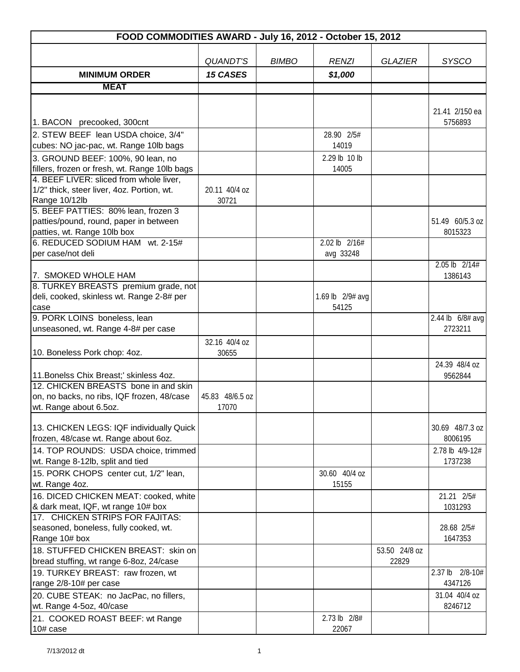| FOOD COMMODITIES AWARD - July 16, 2012 - October 15, 2012           |                        |              |                  |                |                             |  |  |
|---------------------------------------------------------------------|------------------------|--------------|------------------|----------------|-----------------------------|--|--|
|                                                                     |                        |              |                  |                |                             |  |  |
|                                                                     | <b>QUANDT'S</b>        | <b>BIMBO</b> | <b>RENZI</b>     | <b>GLAZIER</b> | <b>SYSCO</b>                |  |  |
| <b>MINIMUM ORDER</b>                                                | <b>15 CASES</b>        |              | \$1,000          |                |                             |  |  |
| <b>MEAT</b>                                                         |                        |              |                  |                |                             |  |  |
|                                                                     |                        |              |                  |                |                             |  |  |
|                                                                     |                        |              |                  |                | 21.41 2/150 ea              |  |  |
| 1. BACON precooked, 300cnt                                          |                        |              |                  |                | 5756893                     |  |  |
| 2. STEW BEEF lean USDA choice, 3/4"                                 |                        |              | 28.90 2/5#       |                |                             |  |  |
| cubes: NO jac-pac, wt. Range 10lb bags                              |                        |              | 14019            |                |                             |  |  |
| 3. GROUND BEEF: 100%, 90 lean, no                                   |                        |              | 2.29 lb 10 lb    |                |                             |  |  |
| fillers, frozen or fresh, wt. Range 10lb bags                       |                        |              | 14005            |                |                             |  |  |
| 4. BEEF LIVER: sliced from whole liver,                             |                        |              |                  |                |                             |  |  |
| 1/2" thick, steer liver, 4oz. Portion, wt.<br>Range 10/12lb         | 20.11 40/4 oz<br>30721 |              |                  |                |                             |  |  |
| 5. BEEF PATTIES: 80% lean, frozen 3                                 |                        |              |                  |                |                             |  |  |
| patties/pound, round, paper in between                              |                        |              |                  |                | 51.49 60/5.3 oz             |  |  |
| patties, wt. Range 10lb box                                         |                        |              |                  |                | 8015323                     |  |  |
| 6. REDUCED SODIUM HAM wt. 2-15#                                     |                        |              | 2.02 lb $2/16#$  |                |                             |  |  |
| per case/not deli                                                   |                        |              | avg 33248        |                |                             |  |  |
|                                                                     |                        |              |                  |                | $2.05$ lb $2/14#$           |  |  |
| 7. SMOKED WHOLE HAM                                                 |                        |              |                  |                | 1386143                     |  |  |
| 8. TURKEY BREASTS premium grade, not                                |                        |              |                  |                |                             |  |  |
| deli, cooked, skinless wt. Range 2-8# per                           |                        |              | 1.69 lb 2/9# avg |                |                             |  |  |
| case                                                                |                        |              | 54125            |                |                             |  |  |
| 9. PORK LOINS boneless, lean<br>unseasoned, wt. Range 4-8# per case |                        |              |                  |                | 2.44 lb 6/8# avg<br>2723211 |  |  |
|                                                                     |                        |              |                  |                |                             |  |  |
| 10. Boneless Pork chop: 4oz.                                        | 32.16 40/4 oz<br>30655 |              |                  |                |                             |  |  |
|                                                                     |                        |              |                  |                | 24.39 48/4 oz               |  |  |
| 11. Bonelss Chix Breast;' skinless 4oz.                             |                        |              |                  |                | 9562844                     |  |  |
| 12. CHICKEN BREASTS bone in and skin                                |                        |              |                  |                |                             |  |  |
| on, no backs, no ribs, IQF frozen, 48/case                          | 45.83 48/6.5 oz        |              |                  |                |                             |  |  |
| wt. Range about 6.5oz.                                              | 17070                  |              |                  |                |                             |  |  |
|                                                                     |                        |              |                  |                |                             |  |  |
| 13. CHICKEN LEGS: IQF individually Quick                            |                        |              |                  |                | 30.69 48/7.3 oz             |  |  |
| frozen, 48/case wt. Range about 6oz.                                |                        |              |                  |                | 8006195                     |  |  |
| 14. TOP ROUNDS: USDA choice, trimmed                                |                        |              |                  |                | 2.78 lb 4/9-12#<br>1737238  |  |  |
| wt. Range 8-12lb, split and tied                                    |                        |              | 30.60 40/4 oz    |                |                             |  |  |
| 15. PORK CHOPS center cut, 1/2" lean,<br>wt. Range 4oz.             |                        |              | 15155            |                |                             |  |  |
| 16. DICED CHICKEN MEAT: cooked, white                               |                        |              |                  |                | 21.21 2/5#                  |  |  |
| & dark meat, IQF, wt range 10# box                                  |                        |              |                  |                | 1031293                     |  |  |
| 17. CHICKEN STRIPS FOR FAJITAS:                                     |                        |              |                  |                |                             |  |  |
| seasoned, boneless, fully cooked, wt.                               |                        |              |                  |                | 28.68 2/5#                  |  |  |
| Range 10# box                                                       |                        |              |                  |                | 1647353                     |  |  |
| 18. STUFFED CHICKEN BREAST: skin on                                 |                        |              |                  | 53.50 24/8 oz  |                             |  |  |
| bread stuffing, wt range 6-8oz, 24/case                             |                        |              |                  | 22829          |                             |  |  |
| 19. TURKEY BREAST: raw frozen, wt                                   |                        |              |                  |                | 2.37 lb 2/8-10#             |  |  |
| range 2/8-10# per case                                              |                        |              |                  |                | 4347126                     |  |  |
| 20. CUBE STEAK: no JacPac, no fillers,                              |                        |              |                  |                | 31.04 40/4 oz               |  |  |
| wt. Range 4-5oz, 40/case                                            |                        |              |                  |                | 8246712                     |  |  |
| 21. COOKED ROAST BEEF: wt Range                                     |                        |              | 2.73 lb 2/8#     |                |                             |  |  |
| 10# case                                                            |                        |              | 22067            |                |                             |  |  |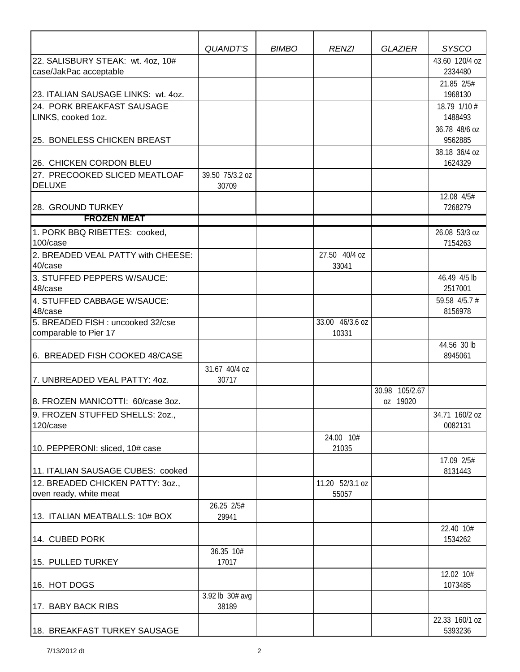|                                             | <b>QUANDT'S</b>        | <b>BIMBO</b> | <b>RENZI</b>    | <b>GLAZIER</b> | <b>SYSCO</b>              |
|---------------------------------------------|------------------------|--------------|-----------------|----------------|---------------------------|
| 22. SALISBURY STEAK: wt. 4oz, 10#           |                        |              |                 |                | 43.60 120/4 oz            |
| case/JakPac acceptable                      |                        |              |                 |                | 2334480<br>21.85 2/5#     |
| 23. ITALIAN SAUSAGE LINKS: wt. 4oz.         |                        |              |                 |                | 1968130                   |
| 24. PORK BREAKFAST SAUSAGE                  |                        |              |                 |                | 18.79 1/10 #              |
| LINKS, cooked 1oz.                          |                        |              |                 |                | 1488493<br>36.78 48/6 oz  |
| 25. BONELESS CHICKEN BREAST                 |                        |              |                 |                | 9562885                   |
| 26. CHICKEN CORDON BLEU                     |                        |              |                 |                | 38.18 36/4 oz<br>1624329  |
| 27. PRECOOKED SLICED MEATLOAF               | 39.50 75/3.2 oz        |              |                 |                |                           |
| <b>DELUXE</b>                               | 30709                  |              |                 |                | 12.08 4/5#                |
| 28. GROUND TURKEY                           |                        |              |                 |                | 7268279                   |
| <b>FROZEN MEAT</b>                          |                        |              |                 |                |                           |
| 1. PORK BBQ RIBETTES: cooked,<br>100/case   |                        |              |                 |                | 26.08 53/3 oz<br>7154263  |
| 2. BREADED VEAL PATTY with CHEESE:          |                        |              | 27.50 40/4 oz   |                |                           |
| 40/case                                     |                        |              | 33041           |                |                           |
| 3. STUFFED PEPPERS W/SAUCE:<br>48/case      |                        |              |                 |                | 46.49 4/5 lb<br>2517001   |
| 4. STUFFED CABBAGE W/SAUCE:<br>48/case      |                        |              |                 |                | 59.58 4/5.7 #<br>8156978  |
| 5. BREADED FISH: uncooked 32/cse            |                        |              | 33.00 46/3.6 oz |                |                           |
| comparable to Pier 17                       |                        |              | 10331           |                |                           |
| 6. BREADED FISH COOKED 48/CASE              |                        |              |                 |                | 44.56 30 lb<br>8945061    |
| 7. UNBREADED VEAL PATTY: 40Z.               | 31.67 40/4 oz<br>30717 |              |                 |                |                           |
|                                             |                        |              |                 | 30.98 105/2.67 |                           |
| 8. FROZEN MANICOTTI: 60/case 3oz.           |                        |              |                 | oz 19020       |                           |
| 9. FROZEN STUFFED SHELLS: 2oz.,<br>120/case |                        |              |                 |                | 34.71 160/2 oz<br>0082131 |
|                                             |                        |              | 24.00 10#       |                |                           |
| 10. PEPPERONI: sliced, 10# case             |                        |              | 21035           |                |                           |
| 11. ITALIAN SAUSAGE CUBES: cooked           |                        |              |                 |                | 17.09 2/5#<br>8131443     |
| 12. BREADED CHICKEN PATTY: 30Z.,            |                        |              | 11.20 52/3.1 oz |                |                           |
| oven ready, white meat                      |                        |              | 55057           |                |                           |
| 13. ITALIAN MEATBALLS: 10# BOX              | 26.25 2/5#<br>29941    |              |                 |                |                           |
|                                             |                        |              |                 |                | 22.40 10#                 |
| 14. CUBED PORK                              |                        |              |                 |                | 1534262                   |
| 15. PULLED TURKEY                           | 36.35 10#<br>17017     |              |                 |                |                           |
| 16. HOT DOGS                                |                        |              |                 |                | 12.02 10#<br>1073485      |
|                                             | 3.92 lb 30# avg        |              |                 |                |                           |
| 17. BABY BACK RIBS                          | 38189                  |              |                 |                |                           |
|                                             |                        |              |                 |                | 22.33 160/1 oz            |
| 18. BREAKFAST TURKEY SAUSAGE                |                        |              |                 |                | 5393236                   |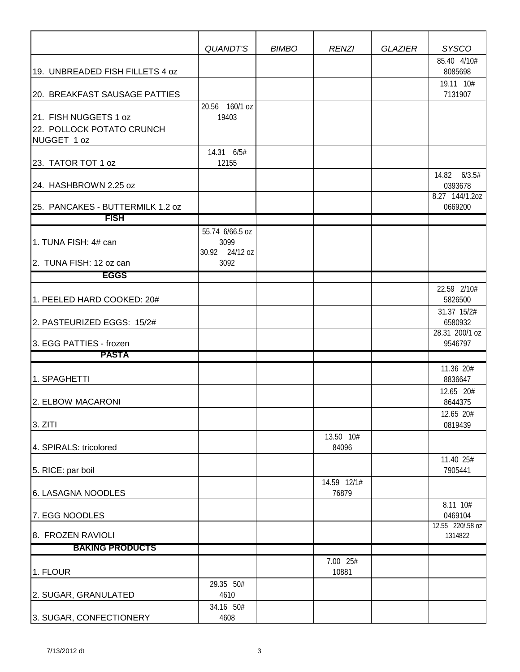|                                  | QUANDT'S                | <b>BIMBO</b> | <b>RENZI</b> | <b>GLAZIER</b> | <b>SYSCO</b><br>85.40 4/10# |
|----------------------------------|-------------------------|--------------|--------------|----------------|-----------------------------|
| 19. UNBREADED FISH FILLETS 4 oz  |                         |              |              |                | 8085698                     |
|                                  |                         |              |              |                | 19.11 10#                   |
| 20. BREAKFAST SAUSAGE PATTIES    |                         |              |              |                | 7131907                     |
| 21. FISH NUGGETS 1 oz            | 20.56 160/1 oz<br>19403 |              |              |                |                             |
| 22. POLLOCK POTATO CRUNCH        |                         |              |              |                |                             |
| NUGGET 1 oz                      |                         |              |              |                |                             |
| 23. TATOR TOT 1 oz               | 14.31 6/5#<br>12155     |              |              |                |                             |
|                                  |                         |              |              |                | 14.82 6/3.5#                |
| 24. HASHBROWN 2.25 oz            |                         |              |              |                | 0393678                     |
| 25. PANCAKES - BUTTERMILK 1.2 oz |                         |              |              |                | 8.27 144/1.20Z<br>0669200   |
| <b>FISH</b>                      |                         |              |              |                |                             |
|                                  | 55.74 6/66.5 oz         |              |              |                |                             |
| 1. TUNA FISH: 4# can             | 3099                    |              |              |                |                             |
| 2. TUNA FISH: 12 oz can          | 30.92 24/12 oz<br>3092  |              |              |                |                             |
| <b>EGGS</b>                      |                         |              |              |                |                             |
|                                  |                         |              |              |                | 22.59 2/10#                 |
| 1. PEELED HARD COOKED: 20#       |                         |              |              |                | 5826500                     |
| 2. PASTEURIZED EGGS: 15/2#       |                         |              |              |                | 31.37 15/2#<br>6580932      |
|                                  |                         |              |              |                | 28.31 200/1 oz              |
| 3. EGG PATTIES - frozen          |                         |              |              |                | 9546797                     |
| <b>PASTA</b>                     |                         |              |              |                | 11.36 20#                   |
| 1. SPAGHETTI                     |                         |              |              |                | 8836647                     |
|                                  |                         |              |              |                | 12.65 20#                   |
| 2. ELBOW MACARONI                |                         |              |              |                | 8644375<br>12.65 20#        |
| 3. ZITI                          |                         |              |              |                | 0819439                     |
|                                  |                         |              | 13.50 10#    |                |                             |
| 4. SPIRALS: tricolored           |                         |              | 84096        |                |                             |
| 5. RICE: par boil                |                         |              |              |                | 11.40 25#<br>7905441        |
|                                  |                         |              | 14.59 12/1#  |                |                             |
| 6. LASAGNA NOODLES               |                         |              | 76879        |                |                             |
| 7. EGG NOODLES                   |                         |              |              |                | 8.11 10#<br>0469104         |
| 8. FROZEN RAVIOLI                |                         |              |              |                | 12.55 220/.58 oz<br>1314822 |
| <b>BAKING PRODUCTS</b>           |                         |              |              |                |                             |
|                                  |                         |              | 7.00 25#     |                |                             |
| 1. FLOUR                         |                         |              | 10881        |                |                             |
| 2. SUGAR, GRANULATED             | 29.35 50#<br>4610       |              |              |                |                             |
|                                  | 34.16 50#               |              |              |                |                             |
| 3. SUGAR, CONFECTIONERY          | 4608                    |              |              |                |                             |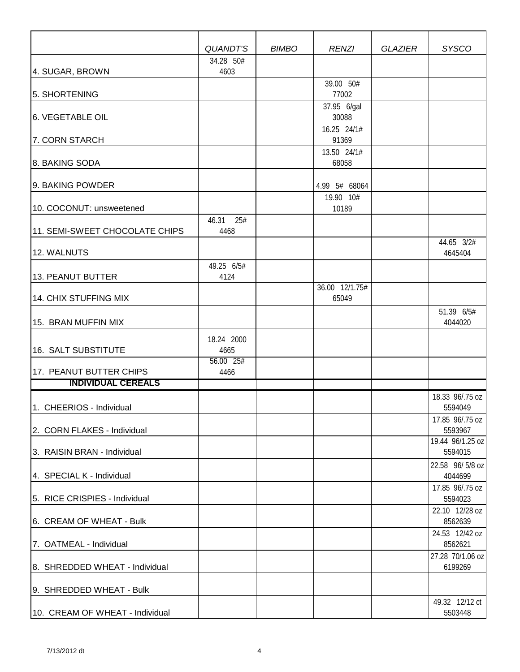|                                 | QUANDT'S             | <b>BIMBO</b> | <b>RENZI</b>                        | <b>GLAZIER</b> | <b>SYSCO</b>                |
|---------------------------------|----------------------|--------------|-------------------------------------|----------------|-----------------------------|
|                                 | 34.28 50#            |              |                                     |                |                             |
| 4. SUGAR, BROWN                 | 4603                 |              | 39.00 50#                           |                |                             |
| 5. SHORTENING                   |                      |              | 77002                               |                |                             |
| <b>6. VEGETABLE OIL</b>         |                      |              | 37.95 6/gal<br>30088                |                |                             |
| 7. CORN STARCH                  |                      |              | 16.25 24/1#<br>91369<br>13.50 24/1# |                |                             |
| 8. BAKING SODA                  |                      |              | 68058                               |                |                             |
| 9. BAKING POWDER                |                      |              | 4.99 5# 68064                       |                |                             |
| 10. COCONUT: unsweetened        |                      |              | 19.90 10#<br>10189                  |                |                             |
| 11. SEMI-SWEET CHOCOLATE CHIPS  | 46.31<br>25#<br>4468 |              |                                     |                |                             |
| 12. WALNUTS                     |                      |              |                                     |                | 44.65 3/2#<br>4645404       |
| 13. PEANUT BUTTER               | 49.25 6/5#<br>4124   |              |                                     |                |                             |
| 14. CHIX STUFFING MIX           |                      |              | 36.00 12/1.75#<br>65049             |                |                             |
| 15. BRAN MUFFIN MIX             |                      |              |                                     |                | 51.39 6/5#<br>4044020       |
| 16. SALT SUBSTITUTE             | 18.24 2000<br>4665   |              |                                     |                |                             |
| 17. PEANUT BUTTER CHIPS         | 56.00 25#<br>4466    |              |                                     |                |                             |
| <b>INDIVIDUAL CEREALS</b>       |                      |              |                                     |                |                             |
| 1. CHEERIOS - Individual        |                      |              |                                     |                | 18.33 96/.75 oz<br>5594049  |
| 2. CORN FLAKES - Individual     |                      |              |                                     |                | 17.85 96/.75 oz<br>5593967  |
| 3. RAISIN BRAN - Individual     |                      |              |                                     |                | 19.44 96/1.25 oz<br>5594015 |
| 4. SPECIAL K - Individual       |                      |              |                                     |                | 22.58 96/5/8 oz<br>4044699  |
| 5. RICE CRISPIES - Individual   |                      |              |                                     |                | 17.85 96/.75 oz<br>5594023  |
| 6. CREAM OF WHEAT - Bulk        |                      |              |                                     |                | 22.10 12/28 oz<br>8562639   |
| 7. OATMEAL - Individual         |                      |              |                                     |                | 24.53 12/42 oz<br>8562621   |
| 8. SHREDDED WHEAT - Individual  |                      |              |                                     |                | 27.28 70/1.06 oz<br>6199269 |
| 9. SHREDDED WHEAT - Bulk        |                      |              |                                     |                |                             |
| 10. CREAM OF WHEAT - Individual |                      |              |                                     |                | 49.32 12/12 ct<br>5503448   |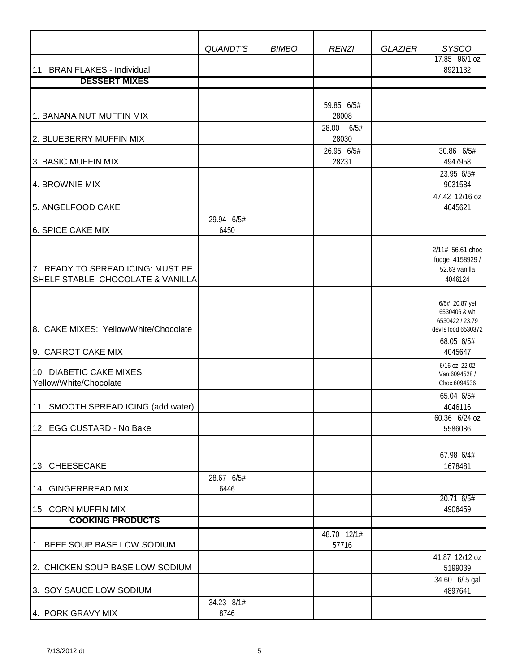|                                                                       | QUANDT'S           | <b>BIMBO</b> | <b>RENZI</b>           | <b>GLAZIER</b> | <b>SYSCO</b>                                                                           |
|-----------------------------------------------------------------------|--------------------|--------------|------------------------|----------------|----------------------------------------------------------------------------------------|
|                                                                       |                    |              |                        |                | 17.85 96/1 oz                                                                          |
| 11. BRAN FLAKES - Individual<br><b>DESSERT MIXES</b>                  |                    |              |                        |                | 8921132                                                                                |
|                                                                       |                    |              |                        |                |                                                                                        |
| 1. BANANA NUT MUFFIN MIX                                              |                    |              | 59.85 6/5#<br>28008    |                |                                                                                        |
| 2. BLUEBERRY MUFFIN MIX                                               |                    |              | 6/5#<br>28.00<br>28030 |                |                                                                                        |
| 3. BASIC MUFFIN MIX                                                   |                    |              | 26.95 6/5#<br>28231    |                | 30.86 6/5#<br>4947958                                                                  |
| 4. BROWNIE MIX                                                        |                    |              |                        |                | 23.95 6/5#<br>9031584                                                                  |
| 5. ANGELFOOD CAKE                                                     |                    |              |                        |                | 47.42 12/16 oz<br>4045621                                                              |
| 6. SPICE CAKE MIX                                                     | 29.94 6/5#<br>6450 |              |                        |                |                                                                                        |
| 7. READY TO SPREAD ICING: MUST BE<br>SHELF STABLE CHOCOLATE & VANILLA |                    |              |                        |                | 2/11# 56.61 choc<br>fudge 4158929 /<br>52.63 vanilla<br>4046124                        |
| 8. CAKE MIXES: Yellow/White/Chocolate                                 |                    |              |                        |                | 6/5# 20.87 yel<br>6530406 & wh<br>6530422 / 23.79<br>devils food 6530372<br>68.05 6/5# |
| 9. CARROT CAKE MIX                                                    |                    |              |                        |                | 4045647                                                                                |
| 10. DIABETIC CAKE MIXES:<br>Yellow/White/Chocolate                    |                    |              |                        |                | 6/16 oz 22.02<br>Van:6094528 /<br>Choc:6094536                                         |
| 11. SMOOTH SPREAD ICING (add water)                                   |                    |              |                        |                | 65.04 6/5#<br>4046116                                                                  |
| 12. EGG CUSTARD - No Bake                                             |                    |              |                        |                | 60.36 6/24 oz<br>5586086                                                               |
| 13. CHEESECAKE                                                        |                    |              |                        |                | 67.98 6/4#<br>1678481                                                                  |
| 14. GINGERBREAD MIX                                                   | 28.67 6/5#<br>6446 |              |                        |                |                                                                                        |
| 15. CORN MUFFIN MIX                                                   |                    |              |                        |                | 20.71 6/5#<br>4906459                                                                  |
| <b>COOKING PRODUCTS</b>                                               |                    |              |                        |                |                                                                                        |
| 1. BEEF SOUP BASE LOW SODIUM                                          |                    |              | 48.70 12/1#<br>57716   |                |                                                                                        |
| 2. CHICKEN SOUP BASE LOW SODIUM                                       |                    |              |                        |                | 41.87 12/12 oz<br>5199039                                                              |
| 3. SOY SAUCE LOW SODIUM                                               |                    |              |                        |                | 34.60 6/.5 gal<br>4897641                                                              |
| 4. PORK GRAVY MIX                                                     | 34.23 8/1#<br>8746 |              |                        |                |                                                                                        |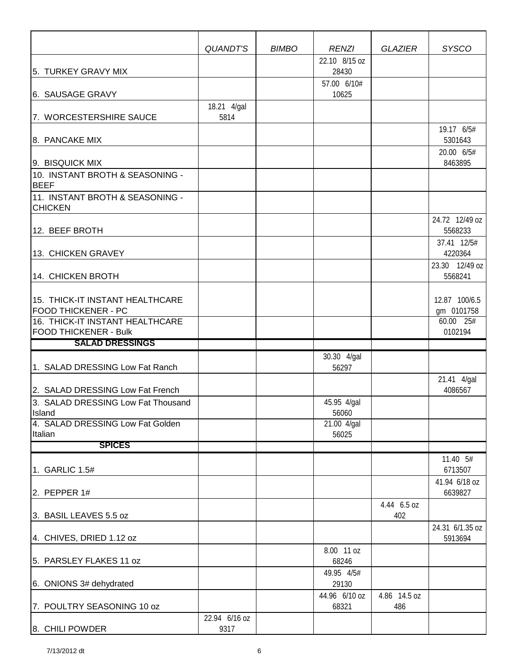|                                                               | QUANDT'S      | <b>BIMBO</b> | <b>RENZI</b>           | <b>GLAZIER</b>     | <b>SYSCO</b>                |
|---------------------------------------------------------------|---------------|--------------|------------------------|--------------------|-----------------------------|
| 5. TURKEY GRAVY MIX                                           |               |              | 22.10 8/15 oz<br>28430 |                    |                             |
| 6. SAUSAGE GRAVY                                              |               |              | 57.00 6/10#<br>10625   |                    |                             |
|                                                               | 18.21 4/gal   |              |                        |                    |                             |
| 7. WORCESTERSHIRE SAUCE                                       | 5814          |              |                        |                    | 19.17 6/5#                  |
| 8. PANCAKE MIX                                                |               |              |                        |                    | 5301643                     |
| 9. BISQUICK MIX                                               |               |              |                        |                    | 20.00 6/5#<br>8463895       |
| 10. INSTANT BROTH & SEASONING -<br><b>BEEF</b>                |               |              |                        |                    |                             |
| 11. INSTANT BROTH & SEASONING -<br><b>CHICKEN</b>             |               |              |                        |                    |                             |
| 12. BEEF BROTH                                                |               |              |                        |                    | 24.72 12/49 oz<br>5568233   |
| 13. CHICKEN GRAVEY                                            |               |              |                        |                    | 37.41 12/5#<br>4220364      |
| 14. CHICKEN BROTH                                             |               |              |                        |                    | 23.30 12/49 oz<br>5568241   |
|                                                               |               |              |                        |                    |                             |
| 15. THICK-IT INSTANT HEALTHCARE<br><b>FOOD THICKENER - PC</b> |               |              |                        |                    | 12.87 100/6.5<br>gm 0101758 |
| 16. THICK-IT INSTANT HEALTHCARE                               |               |              |                        |                    | 60.00 25#                   |
| <b>FOOD THICKENER - Bulk</b>                                  |               |              |                        |                    | 0102194                     |
| <b>SALAD DRESSINGS</b>                                        |               |              |                        |                    |                             |
| 1. SALAD DRESSING Low Fat Ranch                               |               |              | 30.30 4/gal<br>56297   |                    |                             |
| 2. SALAD DRESSING Low Fat French                              |               |              |                        |                    | 21.41 4/gal<br>4086567      |
| 3. SALAD DRESSING Low Fat Thousand<br>Island                  |               |              | 45.95 4/gal<br>56060   |                    |                             |
| 4. SALAD DRESSING Low Fat Golden                              |               |              | 21.00 4/gal            |                    |                             |
| Italian<br><b>SPICES</b>                                      |               |              | 56025                  |                    |                             |
|                                                               |               |              |                        |                    | 11.40 5#                    |
| 1. GARLIC 1.5#                                                |               |              |                        |                    | 6713507                     |
| 2. PEPPER $1#$                                                |               |              |                        |                    | 41.94 6/18 oz<br>6639827    |
| 3. BASIL LEAVES 5.5 oz                                        |               |              |                        | 4.44 6.5 oz<br>402 |                             |
| 4. CHIVES, DRIED 1.12 oz                                      |               |              |                        |                    | 24.31 6/1.35 oz<br>5913694  |
| 5. PARSLEY FLAKES 11 oz                                       |               |              | 8.00 11 oz<br>68246    |                    |                             |
| 6. ONIONS 3# dehydrated                                       |               |              | 49.95 4/5#<br>29130    |                    |                             |
|                                                               |               |              | 44.96 6/10 oz          | 4.86 14.5 oz       |                             |
| 7. POULTRY SEASONING 10 oz                                    | 22.94 6/16 oz |              | 68321                  | 486                |                             |
| 8. CHILI POWDER                                               | 9317          |              |                        |                    |                             |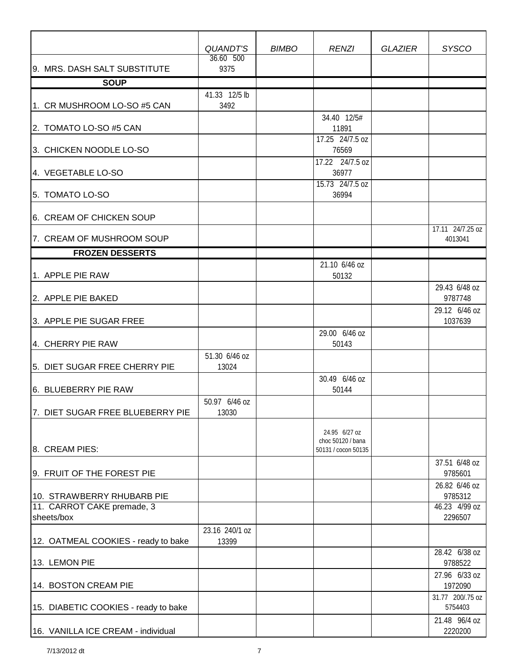|                                          | QUANDT'S                | <b>BIMBO</b> | <b>RENZI</b>                                              | <b>GLAZIER</b> | <b>SYSCO</b>                |
|------------------------------------------|-------------------------|--------------|-----------------------------------------------------------|----------------|-----------------------------|
| 9. MRS. DASH SALT SUBSTITUTE             | 36.60 500<br>9375       |              |                                                           |                |                             |
| <b>SOUP</b>                              |                         |              |                                                           |                |                             |
| 1. CR MUSHROOM LO-SO #5 CAN              | 41.33 12/5 lb<br>3492   |              |                                                           |                |                             |
| 2. TOMATO LO-SO #5 CAN                   |                         |              | 34.40 12/5#<br>11891                                      |                |                             |
| 3. CHICKEN NOODLE LO-SO                  |                         |              | 17.25 24/7.5 oz<br>76569<br>17.22 24/7.5 oz               |                |                             |
| 4. VEGETABLE LO-SO                       |                         |              | 36977<br>15.73 24/7.5 oz                                  |                |                             |
| 5. TOMATO LO-SO                          |                         |              | 36994                                                     |                |                             |
| 6. CREAM OF CHICKEN SOUP                 |                         |              |                                                           |                | 17.11 24/7.25 oz            |
| 7. CREAM OF MUSHROOM SOUP                |                         |              |                                                           |                | 4013041                     |
| <b>FROZEN DESSERTS</b>                   |                         |              |                                                           |                |                             |
| 1. APPLE PIE RAW                         |                         |              | 21.10 6/46 oz<br>50132                                    |                |                             |
| 2. APPLE PIE BAKED                       |                         |              |                                                           |                | 29.43 6/48 oz<br>9787748    |
| 3. APPLE PIE SUGAR FREE                  |                         |              |                                                           |                | 29.12 6/46 oz<br>1037639    |
| 4. CHERRY PIE RAW                        |                         |              | 29.00 6/46 oz<br>50143                                    |                |                             |
| 5. DIET SUGAR FREE CHERRY PIE            | 51.30 6/46 oz<br>13024  |              | 30.49 6/46 oz                                             |                |                             |
| 6. BLUEBERRY PIE RAW                     |                         |              | 50144                                                     |                |                             |
| 7. DIET SUGAR FREE BLUEBERRY PIE         | 50.97 6/46 oz<br>13030  |              |                                                           |                |                             |
| 8. CREAM PIES:                           |                         |              | 24.95 6/27 oz<br>choc 50120 / bana<br>50131 / cocon 50135 |                |                             |
| 9. FRUIT OF THE FOREST PIE               |                         |              |                                                           |                | 37.51 6/48 oz<br>9785601    |
| 10. STRAWBERRY RHUBARB PIE               |                         |              |                                                           |                | 26.82 6/46 oz<br>9785312    |
| 11. CARROT CAKE premade, 3<br>sheets/box |                         |              |                                                           |                | 46.23 4/99 oz<br>2296507    |
| 12. OATMEAL COOKIES - ready to bake      | 23.16 240/1 oz<br>13399 |              |                                                           |                |                             |
| 13. LEMON PIE                            |                         |              |                                                           |                | 28.42 6/38 oz<br>9788522    |
| 14. BOSTON CREAM PIE                     |                         |              |                                                           |                | 27.96 6/33 oz<br>1972090    |
| 15. DIABETIC COOKIES - ready to bake     |                         |              |                                                           |                | 31.77 200/.75 oz<br>5754403 |
| 16. VANILLA ICE CREAM - individual       |                         |              |                                                           |                | 21.48 96/4 oz<br>2220200    |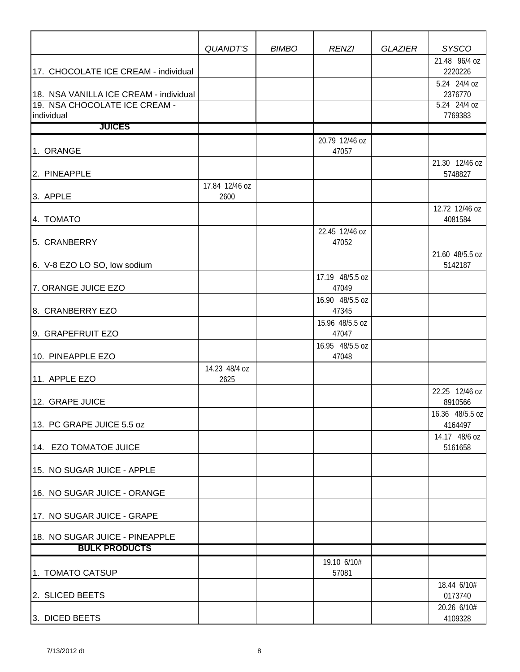|                                                                         | QUANDT'S               | <b>BIMBO</b> | <b>RENZI</b>             | <b>GLAZIER</b> | <b>SYSCO</b>                            |
|-------------------------------------------------------------------------|------------------------|--------------|--------------------------|----------------|-----------------------------------------|
| 17. CHOCOLATE ICE CREAM - individual                                    |                        |              |                          |                | 21.48 96/4 oz<br>2220226                |
| 18. NSA VANILLA ICE CREAM - individual<br>19. NSA CHOCOLATE ICE CREAM - |                        |              |                          |                | 5.24 24/4 oz<br>2376770<br>5.24 24/4 oz |
| individual<br><b>JUICES</b>                                             |                        |              |                          |                | 7769383                                 |
|                                                                         |                        |              | 20.79 12/46 oz           |                |                                         |
| 1. ORANGE                                                               |                        |              | 47057                    |                |                                         |
| 2. PINEAPPLE                                                            |                        |              |                          |                | 21.30 12/46 oz<br>5748827               |
| 3. APPLE                                                                | 17.84 12/46 oz<br>2600 |              |                          |                |                                         |
| 4. TOMATO                                                               |                        |              |                          |                | 12.72 12/46 oz<br>4081584               |
| 5. CRANBERRY                                                            |                        |              | 22.45 12/46 oz<br>47052  |                |                                         |
| 6. V-8 EZO LO SO, low sodium                                            |                        |              |                          |                | 21.60 48/5.5 oz<br>5142187              |
| 7. ORANGE JUICE EZO                                                     |                        |              | 17.19 48/5.5 oz<br>47049 |                |                                         |
| 8. CRANBERRY EZO                                                        |                        |              | 16.90 48/5.5 oz<br>47345 |                |                                         |
| 9. GRAPEFRUIT EZO                                                       |                        |              | 15.96 48/5.5 oz<br>47047 |                |                                         |
| 10. PINEAPPLE EZO                                                       |                        |              | 16.95 48/5.5 oz<br>47048 |                |                                         |
| 11. APPLE EZO                                                           | 14.23 48/4 oz<br>2625  |              |                          |                |                                         |
| 12. GRAPE JUICE                                                         |                        |              |                          |                | 22.25 12/46 oz<br>8910566               |
| 13. PC GRAPE JUICE 5.5 oz                                               |                        |              |                          |                | 16.36 48/5.5 oz<br>4164497              |
| 14. EZO TOMATOE JUICE                                                   |                        |              |                          |                | 14.17 48/6 oz<br>5161658                |
| 15. NO SUGAR JUICE - APPLE                                              |                        |              |                          |                |                                         |
| 16. NO SUGAR JUICE - ORANGE                                             |                        |              |                          |                |                                         |
| 17. NO SUGAR JUICE - GRAPE                                              |                        |              |                          |                |                                         |
| 18. NO SUGAR JUICE - PINEAPPLE                                          |                        |              |                          |                |                                         |
| <b>BULK PRODUCTS</b>                                                    |                        |              |                          |                |                                         |
| 1. TOMATO CATSUP                                                        |                        |              | 19.10 6/10#<br>57081     |                |                                         |
| 2. SLICED BEETS                                                         |                        |              |                          |                | 18.44 6/10#<br>0173740                  |
| 3. DICED BEETS                                                          |                        |              |                          |                | 20.26 6/10#<br>4109328                  |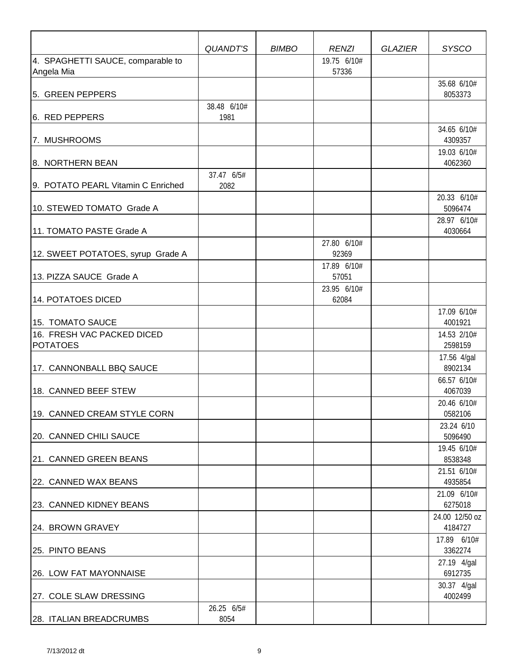|                                                 | QUANDT'S            | <b>BIMBO</b> | <b>RENZI</b>         | <b>GLAZIER</b> | <b>SYSCO</b>              |
|-------------------------------------------------|---------------------|--------------|----------------------|----------------|---------------------------|
| 4. SPAGHETTI SAUCE, comparable to<br>Angela Mia |                     |              | 19.75 6/10#<br>57336 |                |                           |
| 5. GREEN PEPPERS                                |                     |              |                      |                | 35.68 6/10#<br>8053373    |
| 6. RED PEPPERS                                  | 38.48 6/10#<br>1981 |              |                      |                |                           |
| 7. MUSHROOMS                                    |                     |              |                      |                | 34.65 6/10#<br>4309357    |
| 8. NORTHERN BEAN                                |                     |              |                      |                | 19.03 6/10#<br>4062360    |
| 9. POTATO PEARL Vitamin C Enriched              | 37.47 6/5#<br>2082  |              |                      |                |                           |
| 10. STEWED TOMATO Grade A                       |                     |              |                      |                | 20.33 6/10#<br>5096474    |
| 11. TOMATO PASTE Grade A                        |                     |              |                      |                | 28.97 6/10#<br>4030664    |
| 12. SWEET POTATOES, syrup Grade A               |                     |              | 27.80 6/10#<br>92369 |                |                           |
| 13. PIZZA SAUCE Grade A                         |                     |              | 17.89 6/10#<br>57051 |                |                           |
| 14. POTATOES DICED                              |                     |              | 23.95 6/10#<br>62084 |                |                           |
| 15. TOMATO SAUCE                                |                     |              |                      |                | 17.09 6/10#<br>4001921    |
| 16. FRESH VAC PACKED DICED<br><b>POTATOES</b>   |                     |              |                      |                | 14.53 2/10#<br>2598159    |
| 17. CANNONBALL BBQ SAUCE                        |                     |              |                      |                | 17.56 4/gal<br>8902134    |
| 18. CANNED BEEF STEW                            |                     |              |                      |                | 66.57 6/10#<br>4067039    |
| 19. CANNED CREAM STYLE CORN                     |                     |              |                      |                | 20.46 6/10#<br>0582106    |
| 20. CANNED CHILI SAUCE                          |                     |              |                      |                | 23.24 6/10<br>5096490     |
| 21. CANNED GREEN BEANS                          |                     |              |                      |                | 19.45 6/10#<br>8538348    |
| 22. CANNED WAX BEANS                            |                     |              |                      |                | 21.51 6/10#<br>4935854    |
| 23. CANNED KIDNEY BEANS                         |                     |              |                      |                | 21.09 6/10#<br>6275018    |
| 24. BROWN GRAVEY                                |                     |              |                      |                | 24.00 12/50 oz<br>4184727 |
| 25. PINTO BEANS                                 |                     |              |                      |                | 17.89 6/10#<br>3362274    |
| 26. LOW FAT MAYONNAISE                          |                     |              |                      |                | 27.19 4/gal<br>6912735    |
| 27. COLE SLAW DRESSING                          |                     |              |                      |                | 30.37 4/gal<br>4002499    |
| 28. ITALIAN BREADCRUMBS                         | 26.25 6/5#<br>8054  |              |                      |                |                           |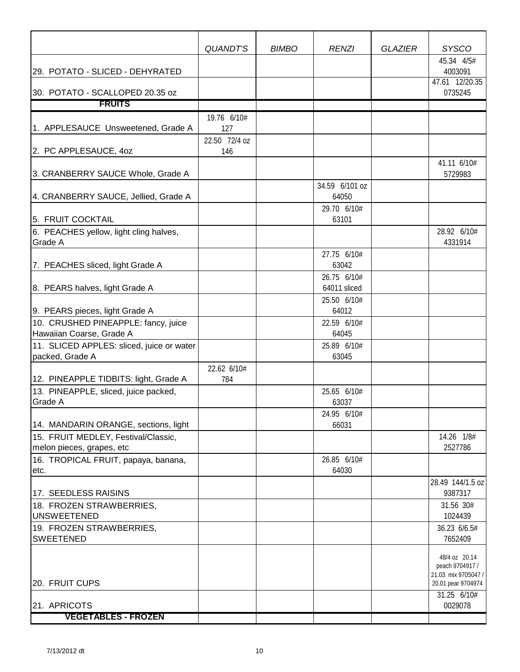|                                                        | QUANDT'S             | <b>BIMBO</b> | <b>RENZI</b>            | <b>GLAZIER</b> | <b>SYSCO</b>                                                                  |
|--------------------------------------------------------|----------------------|--------------|-------------------------|----------------|-------------------------------------------------------------------------------|
| 29. POTATO - SLICED - DEHYRATED                        |                      |              |                         |                | 45.34 4/5#<br>4003091                                                         |
| 30. POTATO - SCALLOPED 20.35 oz                        |                      |              |                         |                | 47.61 12/20.35<br>0735245                                                     |
| <b>FRUITS</b>                                          |                      |              |                         |                |                                                                               |
|                                                        | 19.76 6/10#          |              |                         |                |                                                                               |
| 1. APPLESAUCE Unsweetened, Grade A                     | 127                  |              |                         |                |                                                                               |
| 2. PC APPLESAUCE, 40Z                                  | 22.50 72/4 oz<br>146 |              |                         |                |                                                                               |
| 3. CRANBERRY SAUCE Whole, Grade A                      |                      |              |                         |                | 41.11 6/10#<br>5729983                                                        |
| 4. CRANBERRY SAUCE, Jellied, Grade A                   |                      |              | 34.59 6/101 oz<br>64050 |                |                                                                               |
| 5. FRUIT COCKTAIL                                      |                      |              | 29.70 6/10#<br>63101    |                |                                                                               |
| 6. PEACHES yellow, light cling halves,                 |                      |              |                         |                | 28.92 6/10#                                                                   |
| <b>Grade A</b>                                         |                      |              |                         |                | 4331914                                                                       |
|                                                        |                      |              | 27.75 6/10#             |                |                                                                               |
| 7. PEACHES sliced, light Grade A                       |                      |              | 63042                   |                |                                                                               |
|                                                        |                      |              | 26.75 6/10#             |                |                                                                               |
| 8. PEARS halves, light Grade A                         |                      |              | 64011 sliced            |                |                                                                               |
|                                                        |                      |              | 25.50 6/10#             |                |                                                                               |
| 9. PEARS pieces, light Grade A                         |                      |              | 64012                   |                |                                                                               |
| 10. CRUSHED PINEAPPLE: fancy, juice                    |                      |              | 22.59 6/10#             |                |                                                                               |
| Hawaiian Coarse, Grade A                               |                      |              | 64045                   |                |                                                                               |
| 11. SLICED APPLES: sliced, juice or water              |                      |              | 25.89 6/10#             |                |                                                                               |
| packed, Grade A                                        |                      |              | 63045                   |                |                                                                               |
|                                                        | 22.62 6/10#          |              |                         |                |                                                                               |
| 12. PINEAPPLE TIDBITS: light, Grade A                  | 784                  |              |                         |                |                                                                               |
| 13. PINEAPPLE, sliced, juice packed,<br><b>Grade A</b> |                      |              | 25.65 6/10#<br>63037    |                |                                                                               |
| 14. MANDARIN ORANGE, sections, light                   |                      |              | 24.95 6/10#<br>66031    |                |                                                                               |
| 15. FRUIT MEDLEY, Festival/Classic,                    |                      |              |                         |                | 14.26 1/8#                                                                    |
| melon pieces, grapes, etc                              |                      |              |                         |                | 2527786                                                                       |
| 16. TROPICAL FRUIT, papaya, banana,<br>etc.            |                      |              | 26.85 6/10#<br>64030    |                |                                                                               |
| 17. SEEDLESS RAISINS                                   |                      |              |                         |                | 28.49 144/1.5 oz<br>9387317                                                   |
| 18. FROZEN STRAWBERRIES,                               |                      |              |                         |                | 31.56 30#                                                                     |
| <b>UNSWEETENED</b>                                     |                      |              |                         |                | 1024439                                                                       |
| 19. FROZEN STRAWBERRIES,<br><b>SWEETENED</b>           |                      |              |                         |                | 36.23 6/6.5#<br>7652409                                                       |
| 20. FRUIT CUPS                                         |                      |              |                         |                | 48/4 oz 20.14<br>peach 9704917 /<br>21.03 mix 9705047 /<br>20.01 pear 9704974 |
| 21. APRICOTS                                           |                      |              |                         |                | 31.25 6/10#<br>0029078                                                        |
| <b>VEGETABLES - FROZEN</b>                             |                      |              |                         |                |                                                                               |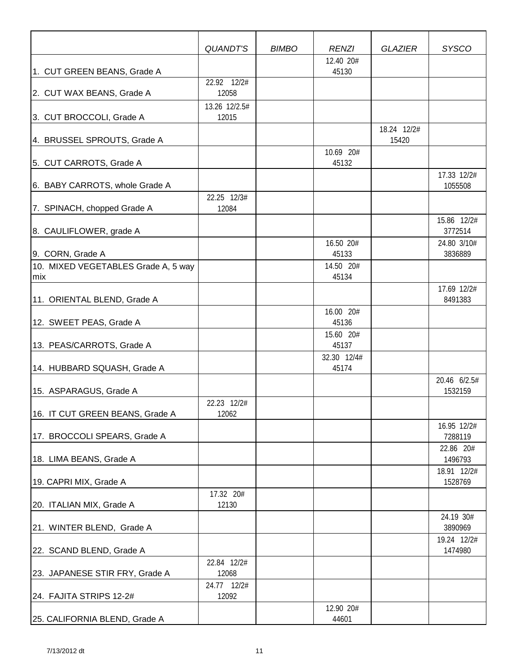|                                            | QUANDT'S               | <b>BIMBO</b> | <b>RENZI</b>         | <b>GLAZIER</b>       | <b>SYSCO</b>            |
|--------------------------------------------|------------------------|--------------|----------------------|----------------------|-------------------------|
|                                            |                        |              | 12.40 20#            |                      |                         |
| 1. CUT GREEN BEANS, Grade A                |                        |              | 45130                |                      |                         |
| 2. CUT WAX BEANS, Grade A                  | 22.92 12/2#<br>12058   |              |                      |                      |                         |
| 3. CUT BROCCOLI, Grade A                   | 13.26 12/2.5#<br>12015 |              |                      |                      |                         |
| 4. BRUSSEL SPROUTS, Grade A                |                        |              |                      | 18.24 12/2#<br>15420 |                         |
| 5. CUT CARROTS, Grade A                    |                        |              | 10.69 20#<br>45132   |                      |                         |
| 6. BABY CARROTS, whole Grade A             |                        |              |                      |                      | 17.33 12/2#<br>1055508  |
| 7. SPINACH, chopped Grade A                | 22.25 12/3#<br>12084   |              |                      |                      |                         |
| 8. CAULIFLOWER, grade A                    |                        |              |                      |                      | 15.86 12/2#<br>3772514  |
| 9. CORN, Grade A                           |                        |              | 16.50 20#<br>45133   |                      | 24.80 3/10#<br>3836889  |
| 10. MIXED VEGETABLES Grade A, 5 way<br>mix |                        |              | 14.50 20#<br>45134   |                      |                         |
| 11. ORIENTAL BLEND, Grade A                |                        |              |                      |                      | 17.69 12/2#<br>8491383  |
| 12. SWEET PEAS, Grade A                    |                        |              | 16.00 20#<br>45136   |                      |                         |
| 13. PEAS/CARROTS, Grade A                  |                        |              | 15.60 20#<br>45137   |                      |                         |
| 14. HUBBARD SQUASH, Grade A                |                        |              | 32.30 12/4#<br>45174 |                      |                         |
| 15. ASPARAGUS, Grade A                     |                        |              |                      |                      | 20.46 6/2.5#<br>1532159 |
| 16. IT CUT GREEN BEANS, Grade A            | 22.23 12/2#<br>12062   |              |                      |                      |                         |
| 17. BROCCOLI SPEARS, Grade A               |                        |              |                      |                      | 16.95 12/2#<br>7288119  |
| 18. LIMA BEANS, Grade A                    |                        |              |                      |                      | 22.86 20#<br>1496793    |
| 19. CAPRI MIX, Grade A                     |                        |              |                      |                      | 18.91 12/2#<br>1528769  |
| 20. ITALIAN MIX, Grade A                   | 17.32 20#<br>12130     |              |                      |                      |                         |
| 21. WINTER BLEND, Grade A                  |                        |              |                      |                      | 24.19 30#<br>3890969    |
| 22. SCAND BLEND, Grade A                   |                        |              |                      |                      | 19.24 12/2#<br>1474980  |
| 23. JAPANESE STIR FRY, Grade A             | 22.84 12/2#<br>12068   |              |                      |                      |                         |
| 24. FAJITA STRIPS 12-2#                    | 24.77 12/2#<br>12092   |              |                      |                      |                         |
| 25. CALIFORNIA BLEND, Grade A              |                        |              | 12.90 20#<br>44601   |                      |                         |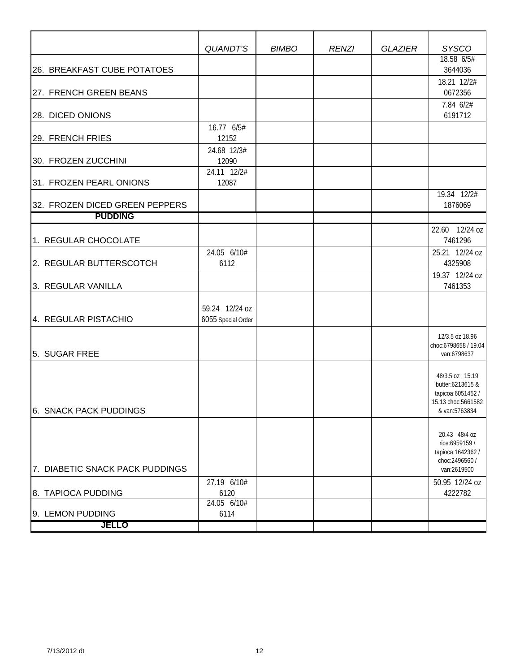|                                 | QUANDT'S             | <b>BIMBO</b> | <b>RENZI</b> | <b>GLAZIER</b> | <b>SYSCO</b>                            |
|---------------------------------|----------------------|--------------|--------------|----------------|-----------------------------------------|
|                                 |                      |              |              |                | 18.58 6/5#                              |
| 26. BREAKFAST CUBE POTATOES     |                      |              |              |                | 3644036                                 |
|                                 |                      |              |              |                | 18.21 12/2#                             |
| 27. FRENCH GREEN BEANS          |                      |              |              |                | 0672356                                 |
|                                 |                      |              |              |                | 7.84 6/2#                               |
| 28. DICED ONIONS                |                      |              |              |                | 6191712                                 |
|                                 | 16.77 6/5#           |              |              |                |                                         |
| 29. FRENCH FRIES                | 12152                |              |              |                |                                         |
| 30. FROZEN ZUCCHINI             | 24.68 12/3#          |              |              |                |                                         |
|                                 | 12090<br>24.11 12/2# |              |              |                |                                         |
| 31. FROZEN PEARL ONIONS         | 12087                |              |              |                |                                         |
|                                 |                      |              |              |                | 19.34 12/2#                             |
| 32. FROZEN DICED GREEN PEPPERS  |                      |              |              |                | 1876069                                 |
| <b>PUDDING</b>                  |                      |              |              |                |                                         |
|                                 |                      |              |              |                | 22.60 12/24 oz                          |
| 1. REGULAR CHOCOLATE            |                      |              |              |                | 7461296                                 |
|                                 | 24.05 6/10#          |              |              |                | 25.21 12/24 oz                          |
| 2. REGULAR BUTTERSCOTCH         | 6112                 |              |              |                | 4325908                                 |
|                                 |                      |              |              |                | 19.37 12/24 oz                          |
| 3. REGULAR VANILLA              |                      |              |              |                | 7461353                                 |
|                                 | 59.24 12/24 oz       |              |              |                |                                         |
| 4. REGULAR PISTACHIO            | 6055 Special Order   |              |              |                |                                         |
|                                 |                      |              |              |                |                                         |
|                                 |                      |              |              |                | 12/3.5 oz 18.96<br>choc:6798658 / 19.04 |
| 5. SUGAR FREE                   |                      |              |              |                | van:6798637                             |
|                                 |                      |              |              |                |                                         |
|                                 |                      |              |              |                | 48/3.5 oz 15.19                         |
|                                 |                      |              |              |                | butter:6213615 &<br>tapicoa:6051452 /   |
|                                 |                      |              |              |                | 15.13 choc:5661582                      |
| 6. SNACK PACK PUDDINGS          |                      |              |              |                | & van:5763834                           |
|                                 |                      |              |              |                |                                         |
|                                 |                      |              |              |                | 20.43 48/4 oz<br>rice:6959159 /         |
|                                 |                      |              |              |                | tapioca: 1642362 /                      |
|                                 |                      |              |              |                | choc:2496560 /                          |
| 7. DIABETIC SNACK PACK PUDDINGS |                      |              |              |                | van:2619500                             |
| 8. TAPIOCA PUDDING              | 27.19 6/10#<br>6120  |              |              |                | 50.95 12/24 oz<br>4222782               |
|                                 | 24.05 6/10#          |              |              |                |                                         |
| 9. LEMON PUDDING                | 6114                 |              |              |                |                                         |
| <b>JELLO</b>                    |                      |              |              |                |                                         |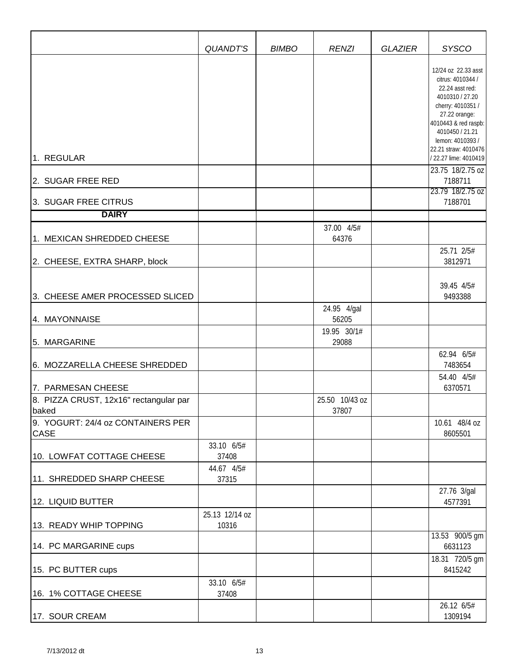|                                                  | QUANDT'S                | <b>BIMBO</b> | <b>RENZI</b>                        | <b>GLAZIER</b> | <b>SYSCO</b>                                                                                                                                                                                                                                                                            |
|--------------------------------------------------|-------------------------|--------------|-------------------------------------|----------------|-----------------------------------------------------------------------------------------------------------------------------------------------------------------------------------------------------------------------------------------------------------------------------------------|
| 1. REGULAR<br>2. SUGAR FREE RED                  |                         |              |                                     |                | 12/24 oz 22.33 asst<br>citrus: 4010344 /<br>22.24 asst red:<br>4010310 / 27.20<br>cherry: 4010351 /<br>27.22 orange:<br>4010443 & red raspb:<br>4010450 / 21.21<br>lemon: 4010393 /<br>22.21 straw: 4010476<br>/ 22.27 lime: 4010419<br>23.75 18/2.75 oz<br>7188711<br>23.79 18/2.75 oz |
| 3. SUGAR FREE CITRUS                             |                         |              |                                     |                | 7188701                                                                                                                                                                                                                                                                                 |
| <b>DAIRY</b>                                     |                         |              |                                     |                |                                                                                                                                                                                                                                                                                         |
| 1. MEXICAN SHREDDED CHEESE                       |                         |              | 37.00 4/5#<br>64376                 |                |                                                                                                                                                                                                                                                                                         |
| 2. CHEESE, EXTRA SHARP, block                    |                         |              |                                     |                | 25.71 2/5#<br>3812971                                                                                                                                                                                                                                                                   |
| 3. CHEESE AMER PROCESSED SLICED                  |                         |              |                                     |                | 39.45 4/5#<br>9493388                                                                                                                                                                                                                                                                   |
| 4. MAYONNAISE                                    |                         |              | 24.95 4/gal<br>56205<br>19.95 30/1# |                |                                                                                                                                                                                                                                                                                         |
| 5. MARGARINE                                     |                         |              | 29088                               |                |                                                                                                                                                                                                                                                                                         |
| 6. MOZZARELLA CHEESE SHREDDED                    |                         |              |                                     |                | 62.94 6/5#<br>7483654                                                                                                                                                                                                                                                                   |
| 7. PARMESAN CHEESE                               |                         |              |                                     |                | 54.40 4/5#<br>6370571                                                                                                                                                                                                                                                                   |
| 8. PIZZA CRUST, 12x16" rectangular par<br>baked  |                         |              | 25.50 10/43 oz<br>37807             |                |                                                                                                                                                                                                                                                                                         |
| 9. YOGURT: 24/4 oz CONTAINERS PER<br><b>CASE</b> |                         |              |                                     |                | 10.61 48/4 oz<br>8605501                                                                                                                                                                                                                                                                |
| 10. LOWFAT COTTAGE CHEESE                        | 33.10 6/5#<br>37408     |              |                                     |                |                                                                                                                                                                                                                                                                                         |
| 11. SHREDDED SHARP CHEESE                        | 44.67 4/5#<br>37315     |              |                                     |                |                                                                                                                                                                                                                                                                                         |
| 12. LIQUID BUTTER                                |                         |              |                                     |                | 27.76 3/gal<br>4577391                                                                                                                                                                                                                                                                  |
| 13. READY WHIP TOPPING                           | 25.13 12/14 oz<br>10316 |              |                                     |                |                                                                                                                                                                                                                                                                                         |
| 14. PC MARGARINE cups                            |                         |              |                                     |                | 13.53 900/5 gm<br>6631123                                                                                                                                                                                                                                                               |
| 15. PC BUTTER cups                               |                         |              |                                     |                | 18.31 720/5 gm<br>8415242                                                                                                                                                                                                                                                               |
| 16. 1% COTTAGE CHEESE                            | 33.10 6/5#<br>37408     |              |                                     |                |                                                                                                                                                                                                                                                                                         |
| 17. SOUR CREAM                                   |                         |              |                                     |                | 26.12 6/5#<br>1309194                                                                                                                                                                                                                                                                   |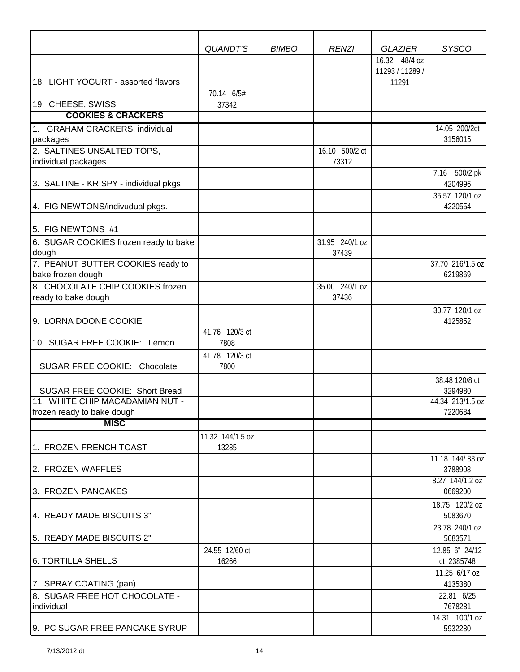|                                                         | QUANDT'S               | <b>BIMBO</b> | <b>RENZI</b>            | <b>GLAZIER</b>                   | <b>SYSCO</b>                |
|---------------------------------------------------------|------------------------|--------------|-------------------------|----------------------------------|-----------------------------|
|                                                         |                        |              |                         | 16.32 48/4 oz<br>11293 / 11289 / |                             |
| 18. LIGHT YOGURT - assorted flavors                     |                        |              |                         | 11291                            |                             |
| 19. CHEESE, SWISS                                       | 70.14 6/5#<br>37342    |              |                         |                                  |                             |
| <b>COOKIES &amp; CRACKERS</b>                           |                        |              |                         |                                  |                             |
| 1. GRAHAM CRACKERS, individual                          |                        |              |                         |                                  | 14.05 200/2ct               |
| packages                                                |                        |              |                         |                                  | 3156015                     |
| 2. SALTINES UNSALTED TOPS,                              |                        |              | 16.10 500/2 ct          |                                  |                             |
| individual packages                                     |                        |              | 73312                   |                                  |                             |
| 3. SALTINE - KRISPY - individual pkgs                   |                        |              |                         |                                  | 7.16 500/2 pk<br>4204996    |
| 4. FIG NEWTONS/indivudual pkgs.                         |                        |              |                         |                                  | 35.57 120/1 oz<br>4220554   |
| 5. FIG NEWTONS #1                                       |                        |              |                         |                                  |                             |
| 6. SUGAR COOKIES frozen ready to bake<br>dough          |                        |              | 31.95 240/1 oz<br>37439 |                                  |                             |
| 7. PEANUT BUTTER COOKIES ready to<br>bake frozen dough  |                        |              |                         |                                  | 37.70 216/1.5 oz<br>6219869 |
| 8. CHOCOLATE CHIP COOKIES frozen<br>ready to bake dough |                        |              | 35.00 240/1 oz<br>37436 |                                  |                             |
| 9. LORNA DOONE COOKIE                                   |                        |              |                         |                                  | 30.77 120/1 oz<br>4125852   |
|                                                         | 41.76 120/3 ct         |              |                         |                                  |                             |
| 10. SUGAR FREE COOKIE: Lemon                            | 7808                   |              |                         |                                  |                             |
| SUGAR FREE COOKIE: Chocolate                            | 41.78 120/3 ct<br>7800 |              |                         |                                  |                             |
| SUGAR FREE COOKIE: Short Bread                          |                        |              |                         |                                  | 38.48 120/8 ct<br>3294980   |
| 11. WHITE CHIP MACADAMIAN NUT -                         |                        |              |                         |                                  | 44.34 213/1.5 oz            |
| frozen ready to bake dough                              |                        |              |                         |                                  | 7220684                     |
| <b>MISC</b>                                             |                        |              |                         |                                  |                             |
|                                                         | 11.32 144/1.5 oz       |              |                         |                                  |                             |
| 1. FROZEN FRENCH TOAST                                  | 13285                  |              |                         |                                  |                             |
| 2. FROZEN WAFFLES                                       |                        |              |                         |                                  | 11.18 144/.83 oz<br>3788908 |
| 3. FROZEN PANCAKES                                      |                        |              |                         |                                  | 8.27 144/1.2 oz<br>0669200  |
| 4. READY MADE BISCUITS 3"                               |                        |              |                         |                                  | 18.75 120/2 oz<br>5083670   |
|                                                         |                        |              |                         |                                  | 23.78 240/1 oz              |
| 5. READY MADE BISCUITS 2"                               |                        |              |                         |                                  | 5083571                     |
|                                                         | 24.55 12/60 ct         |              |                         |                                  | 12.85 6" 24/12              |
| <b>6. TORTILLA SHELLS</b>                               | 16266                  |              |                         |                                  | ct 2385748                  |
| 7. SPRAY COATING (pan)                                  |                        |              |                         |                                  | 11.25 6/17 oz<br>4135380    |
| 8. SUGAR FREE HOT CHOCOLATE -                           |                        |              |                         |                                  | 22.81 6/25                  |
| individual                                              |                        |              |                         |                                  | 7678281                     |
|                                                         |                        |              |                         |                                  | 14.31 100/1 oz              |
| 9. PC SUGAR FREE PANCAKE SYRUP                          |                        |              |                         |                                  | 5932280                     |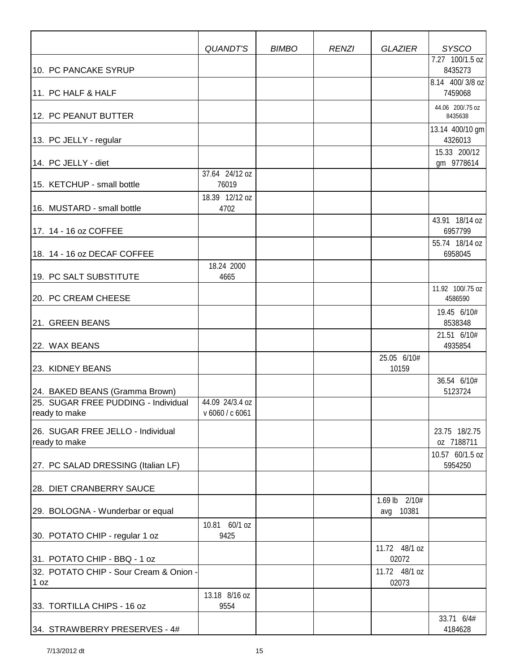|                                                      | QUANDT'S                           | <b>BIMBO</b> | <b>RENZI</b> | <b>GLAZIER</b>             | <b>SYSCO</b>                |
|------------------------------------------------------|------------------------------------|--------------|--------------|----------------------------|-----------------------------|
| 10. PC PANCAKE SYRUP                                 |                                    |              |              |                            | 7.27 100/1.5 oz<br>8435273  |
| 11. PC HALF & HALF                                   |                                    |              |              |                            | 8.14 400/3/8 oz<br>7459068  |
| 12. PC PEANUT BUTTER                                 |                                    |              |              |                            | 44.06 200/.75 oz<br>8435638 |
| 13. PC JELLY - regular                               |                                    |              |              |                            | 13.14 400/10 gm<br>4326013  |
| 14. PC JELLY - diet                                  |                                    |              |              |                            | 15.33 200/12<br>gm 9778614  |
| 15. KETCHUP - small bottle                           | 37.64 24/12 oz<br>76019            |              |              |                            |                             |
| 16. MUSTARD - small bottle                           | 18.39 12/12 oz<br>4702             |              |              |                            |                             |
| 17. 14 - 16 oz COFFEE                                |                                    |              |              |                            | 43.91 18/14 oz<br>6957799   |
| 18. 14 - 16 oz DECAF COFFEE                          |                                    |              |              |                            | 55.74 18/14 oz<br>6958045   |
| 19. PC SALT SUBSTITUTE                               | 18.24 2000<br>4665                 |              |              |                            |                             |
| 20. PC CREAM CHEESE                                  |                                    |              |              |                            | 11.92 100/.75 oz<br>4586590 |
| 21. GREEN BEANS                                      |                                    |              |              |                            | 19.45 6/10#<br>8538348      |
| 22. WAX BEANS                                        |                                    |              |              |                            | 21.51 6/10#<br>4935854      |
| 23. KIDNEY BEANS                                     |                                    |              |              | 25.05 6/10#<br>10159       |                             |
| 24. BAKED BEANS (Gramma Brown)                       |                                    |              |              |                            | 36.54 6/10#<br>5123724      |
| 25. SUGAR FREE PUDDING - Individual<br>ready to make | 44.09 24/3.4 oz<br>v 6060 / c 6061 |              |              |                            |                             |
| 26. SUGAR FREE JELLO - Individual<br>ready to make   |                                    |              |              |                            | 23.75 18/2.75<br>oz 7188711 |
| [27. PC SALAD DRESSING (Italian LF)                  |                                    |              |              |                            | 10.57 60/1.5 oz<br>5954250  |
| 28. DIET CRANBERRY SAUCE                             |                                    |              |              |                            |                             |
| 29. BOLOGNA - Wunderbar or equal                     |                                    |              |              | 1.69 lb 2/10#<br>avg 10381 |                             |
| 30. POTATO CHIP - regular 1 oz                       | 10.81 60/1 oz<br>9425              |              |              |                            |                             |
| 31. POTATO CHIP - BBQ - 1 oz                         |                                    |              |              | 11.72 48/1 oz<br>02072     |                             |
| 32. POTATO CHIP - Sour Cream & Onion -<br>1 oz       |                                    |              |              | 11.72 48/1 oz<br>02073     |                             |
| 33. TORTILLA CHIPS - 16 oz                           | 13.18 8/16 oz<br>9554              |              |              |                            |                             |
| 34. STRAWBERRY PRESERVES - 4#                        |                                    |              |              |                            | 33.71 6/4#<br>4184628       |